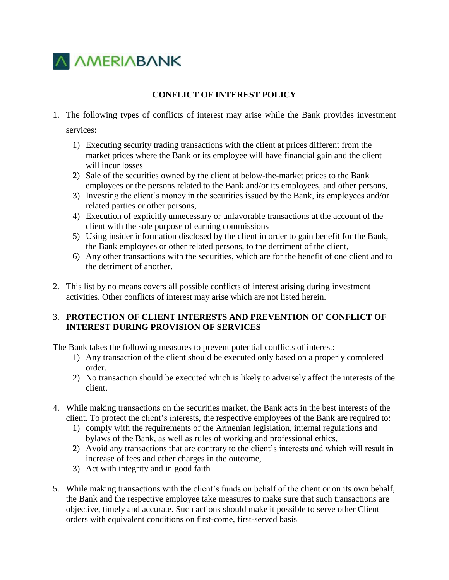

## **CONFLICT OF INTEREST POLICY**

1. The following types of conflicts of interest may arise while the Bank provides investment services:

- 1) Executing security trading transactions with the client at prices different from the market prices where the Bank or its employee will have financial gain and the client will incur losses
- 2) Sale of the securities owned by the client at below-the-market prices to the Bank employees or the persons related to the Bank and/or its employees, and other persons,
- 3) Investing the client's money in the securities issued by the Bank, its employees and/or related parties or other persons,
- 4) Execution of explicitly unnecessary or unfavorable transactions at the account of the client with the sole purpose of earning commissions
- 5) Using insider information disclosed by the client in order to gain benefit for the Bank, the Bank employees or other related persons, to the detriment of the client,
- 6) Any other transactions with the securities, which are for the benefit of one client and to the detriment of another.
- 2. This list by no means covers all possible conflicts of interest arising during investment activities. Other conflicts of interest may arise which are not listed herein.

## 3. **PROTECTION OF CLIENT INTERESTS AND PREVENTION OF CONFLICT OF INTEREST DURING PROVISION OF SERVICES**

The Bank takes the following measures to prevent potential conflicts of interest:

- 1) Any transaction of the client should be executed only based on a properly completed order.
- 2) No transaction should be executed which is likely to adversely affect the interests of the client.
- 4. While making transactions on the securities market, the Bank acts in the best interests of the client. To protect the client's interests, the respective employees of the Bank are required to:
	- 1) comply with the requirements of the Armenian legislation, internal regulations and bylaws of the Bank, as well as rules of working and professional ethics,
	- 2) Avoid any transactions that are contrary to the client's interests and which will result in increase of fees and other charges in the outcome,
	- 3) Act with integrity and in good faith
- 5. While making transactions with the client's funds on behalf of the client or on its own behalf, the Bank and the respective employee take measures to make sure that such transactions are objective, timely and accurate. Such actions should make it possible to serve other Client orders with equivalent conditions on first-come, first-served basis